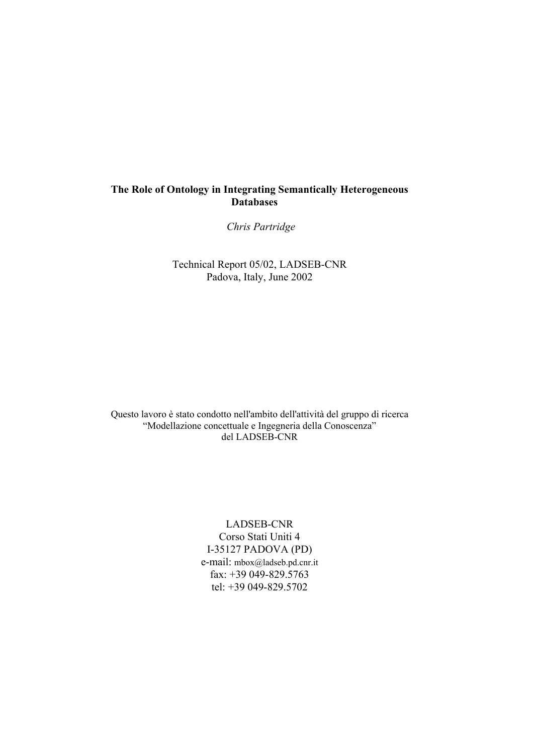*Chris Partridge* 

Technical Report 05/02, LADSEB-CNR Padova, Italy, June 2002

Questo lavoro è stato condotto nell'ambito dell'attività del gruppo di ricerca "Modellazione concettuale e Ingegneria della Conoscenza" del LADSEB-CNR

> LADSEB-CNR Corso Stati Uniti 4 I-35127 PADOVA (PD) e-mail: mbox@ladseb.pd.cnr.it fax: +39 049-829.5763 tel: +39 049-829.5702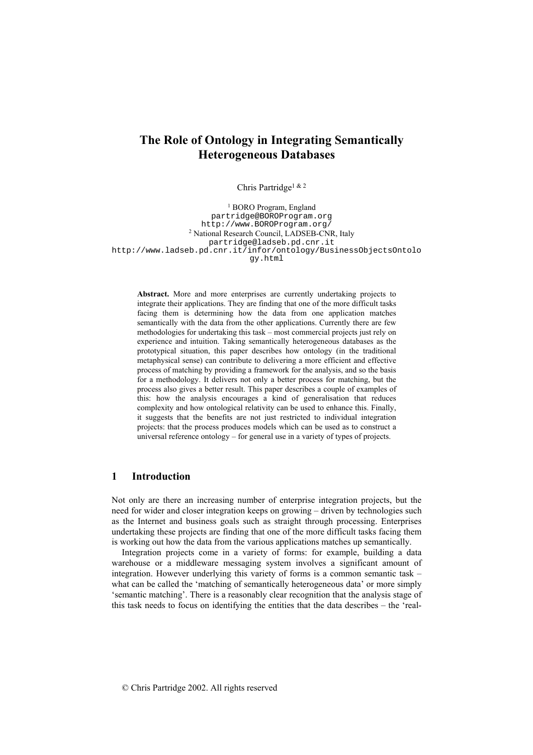Chris Partridge1 & 2

<sup>1</sup> BORO Program, England partridge@BOROProgram.org http://www.BOROProgram.org/ 2 National Research Council, LADSEB-CNR, Italy partridge@ladseb.pd.cnr.it http://www.ladseb.pd.cnr.it/infor/ontology/BusinessObjectsOntolo gy.html

**Abstract.** More and more enterprises are currently undertaking projects to integrate their applications. They are finding that one of the more difficult tasks facing them is determining how the data from one application matches semantically with the data from the other applications. Currently there are few methodologies for undertaking this task – most commercial projects just rely on experience and intuition. Taking semantically heterogeneous databases as the prototypical situation, this paper describes how ontology (in the traditional metaphysical sense) can contribute to delivering a more efficient and effective process of matching by providing a framework for the analysis, and so the basis for a methodology. It delivers not only a better process for matching, but the process also gives a better result. This paper describes a couple of examples of this: how the analysis encourages a kind of generalisation that reduces complexity and how ontological relativity can be used to enhance this. Finally, it suggests that the benefits are not just restricted to individual integration projects: that the process produces models which can be used as to construct a universal reference ontology – for general use in a variety of types of projects.

## **1 Introduction**

Not only are there an increasing number of enterprise integration projects, but the need for wider and closer integration keeps on growing – driven by technologies such as the Internet and business goals such as straight through processing. Enterprises undertaking these projects are finding that one of the more difficult tasks facing them is working out how the data from the various applications matches up semantically.

Integration projects come in a variety of forms: for example, building a data warehouse or a middleware messaging system involves a significant amount of integration. However underlying this variety of forms is a common semantic task – what can be called the 'matching of semantically heterogeneous data' or more simply 'semantic matching'. There is a reasonably clear recognition that the analysis stage of this task needs to focus on identifying the entities that the data describes – the 'real-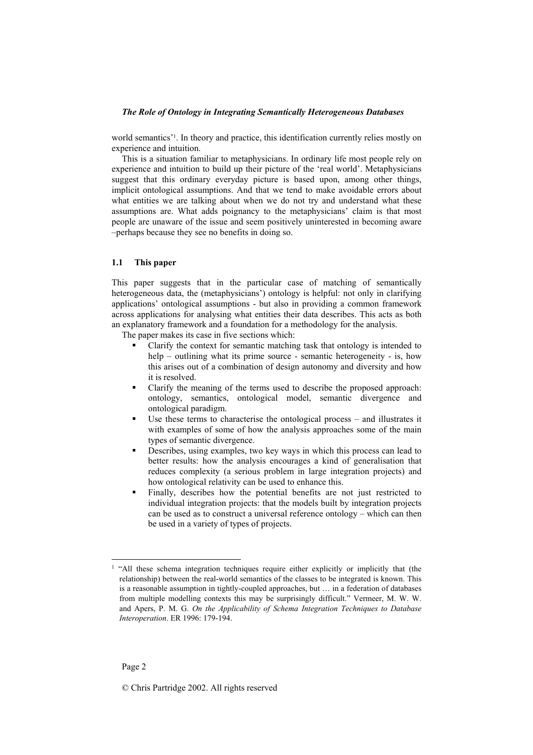world semantics<sup>21</sup>. In theory and practice, this identification currently relies mostly on experience and intuition.

This is a situation familiar to metaphysicians. In ordinary life most people rely on experience and intuition to build up their picture of the 'real world'. Metaphysicians suggest that this ordinary everyday picture is based upon, among other things, implicit ontological assumptions. And that we tend to make avoidable errors about what entities we are talking about when we do not try and understand what these assumptions are. What adds poignancy to the metaphysicians' claim is that most people are unaware of the issue and seem positively uninterested in becoming aware –perhaps because they see no benefits in doing so.

## **1.1 This paper**

This paper suggests that in the particular case of matching of semantically heterogeneous data, the (metaphysicians') ontology is helpful: not only in clarifying applications' ontological assumptions - but also in providing a common framework across applications for analysing what entities their data describes. This acts as both an explanatory framework and a foundation for a methodology for the analysis.

The paper makes its case in five sections which:

- Clarify the context for semantic matching task that ontology is intended to help – outlining what its prime source - semantic heterogeneity - is, how this arises out of a combination of design autonomy and diversity and how it is resolved.
- Clarify the meaning of the terms used to describe the proposed approach: ontology, semantics, ontological model, semantic divergence and ontological paradigm.
- Use these terms to characterise the ontological process and illustrates it with examples of some of how the analysis approaches some of the main types of semantic divergence.
- Describes, using examples, two key ways in which this process can lead to better results: how the analysis encourages a kind of generalisation that reduces complexity (a serious problem in large integration projects) and how ontological relativity can be used to enhance this.
- Finally, describes how the potential benefits are not just restricted to individual integration projects: that the models built by integration projects can be used as to construct a universal reference ontology – which can then be used in a variety of types of projects.

<sup>&</sup>lt;sup>1</sup> "All these schema integration techniques require either explicitly or implicitly that (the relationship) between the real-world semantics of the classes to be integrated is known. This is a reasonable assumption in tightly-coupled approaches, but … in a federation of databases from multiple modelling contexts this may be surprisingly difficult." Vermeer, M. W. W. and Apers, P. M. G. *On the Applicability of Schema Integration Techniques to Database Interoperation*. ER 1996: 179-194.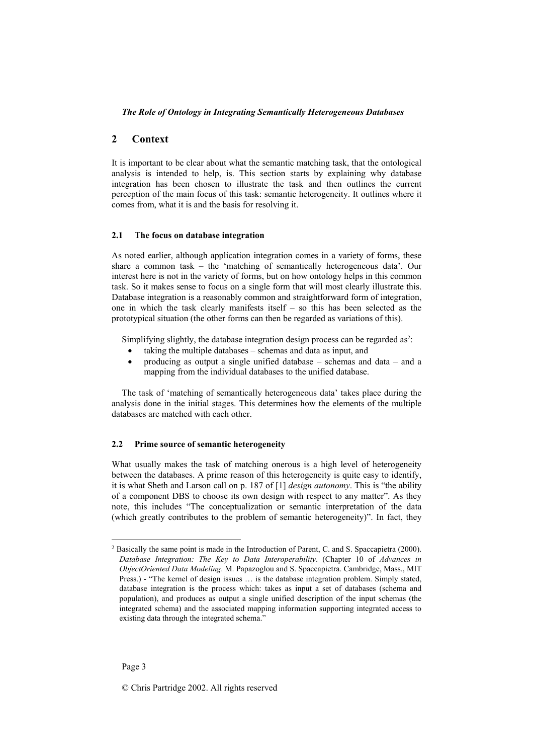## **2 Context**

It is important to be clear about what the semantic matching task, that the ontological analysis is intended to help, is. This section starts by explaining why database integration has been chosen to illustrate the task and then outlines the current perception of the main focus of this task: semantic heterogeneity. It outlines where it comes from, what it is and the basis for resolving it.

## **2.1 The focus on database integration**

As noted earlier, although application integration comes in a variety of forms, these share a common task – the 'matching of semantically heterogeneous data'. Our interest here is not in the variety of forms, but on how ontology helps in this common task. So it makes sense to focus on a single form that will most clearly illustrate this. Database integration is a reasonably common and straightforward form of integration, one in which the task clearly manifests itself – so this has been selected as the prototypical situation (the other forms can then be regarded as variations of this).

Simplifying slightly, the database integration design process can be regarded as<sup>2</sup>:

- taking the multiple databases schemas and data as input, and
- producing as output a single unified database  $-$  schemas and data  $-$  and a mapping from the individual databases to the unified database.

The task of 'matching of semantically heterogeneous data' takes place during the analysis done in the initial stages. This determines how the elements of the multiple databases are matched with each other.

#### **2.2 Prime source of semantic heterogeneity**

What usually makes the task of matching onerous is a high level of heterogeneity between the databases. A prime reason of this heterogeneity is quite easy to identify, it is what Sheth and Larson call on p. 187 of [1] *design autonomy*. This is "the ability of a component DBS to choose its own design with respect to any matter". As they note, this includes "The conceptualization or semantic interpretation of the data (which greatly contributes to the problem of semantic heterogeneity)". In fact, they

l

<sup>2</sup> Basically the same point is made in the Introduction of Parent, C. and S. Spaccapietra (2000). *Database Integration: The Key to Data Interoperability*. (Chapter 10 of *Advances in ObjectOriented Data Modeling*. M. Papazoglou and S. Spaccapietra. Cambridge, Mass., MIT Press.) - "The kernel of design issues … is the database integration problem. Simply stated, database integration is the process which: takes as input a set of databases (schema and population), and produces as output a single unified description of the input schemas (the integrated schema) and the associated mapping information supporting integrated access to existing data through the integrated schema."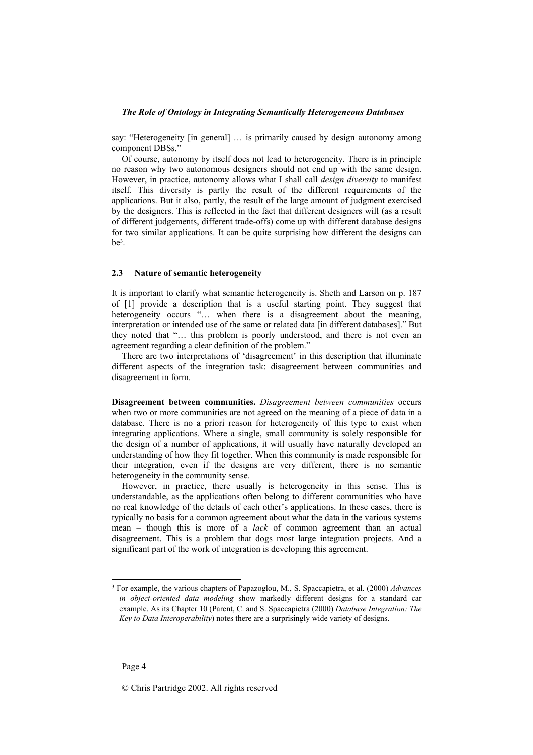say: "Heterogeneity [in general] … is primarily caused by design autonomy among component DBSs."

Of course, autonomy by itself does not lead to heterogeneity. There is in principle no reason why two autonomous designers should not end up with the same design. However, in practice, autonomy allows what I shall call *design diversity* to manifest itself. This diversity is partly the result of the different requirements of the applications. But it also, partly, the result of the large amount of judgment exercised by the designers. This is reflected in the fact that different designers will (as a result of different judgements, different trade-offs) come up with different database designs for two similar applications. It can be quite surprising how different the designs can  $he<sup>3</sup>$ 

## **2.3 Nature of semantic heterogeneity**

It is important to clarify what semantic heterogeneity is. Sheth and Larson on p. 187 of [1] provide a description that is a useful starting point. They suggest that heterogeneity occurs "... when there is a disagreement about the meaning, interpretation or intended use of the same or related data [in different databases]." But they noted that "… this problem is poorly understood, and there is not even an agreement regarding a clear definition of the problem."

There are two interpretations of 'disagreement' in this description that illuminate different aspects of the integration task: disagreement between communities and disagreement in form.

**Disagreement between communities.** *Disagreement between communities* occurs when two or more communities are not agreed on the meaning of a piece of data in a database. There is no a priori reason for heterogeneity of this type to exist when integrating applications. Where a single, small community is solely responsible for the design of a number of applications, it will usually have naturally developed an understanding of how they fit together. When this community is made responsible for their integration, even if the designs are very different, there is no semantic heterogeneity in the community sense.

However, in practice, there usually is heterogeneity in this sense. This is understandable, as the applications often belong to different communities who have no real knowledge of the details of each other's applications. In these cases, there is typically no basis for a common agreement about what the data in the various systems mean – though this is more of a *lack* of common agreement than an actual disagreement. This is a problem that dogs most large integration projects. And a significant part of the work of integration is developing this agreement.

<sup>3</sup> For example, the various chapters of Papazoglou, M., S. Spaccapietra, et al. (2000) *Advances in object-oriented data modeling* show markedly different designs for a standard car example. As its Chapter 10 (Parent, C. and S. Spaccapietra (2000) *Database Integration: The Key to Data Interoperability*) notes there are a surprisingly wide variety of designs.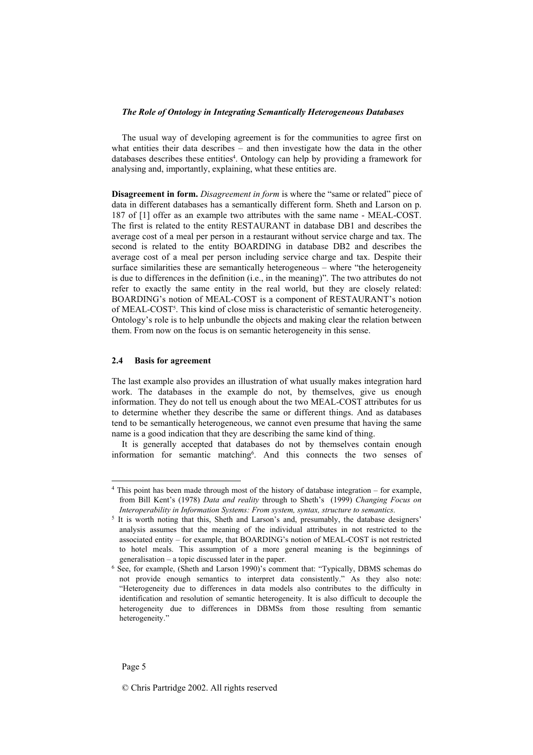The usual way of developing agreement is for the communities to agree first on what entities their data describes – and then investigate how the data in the other databases describes these entities<sup>4</sup>. Ontology can help by providing a framework for analysing and, importantly, explaining, what these entities are.

**Disagreement in form.** *Disagreement in form* is where the "same or related" piece of data in different databases has a semantically different form. Sheth and Larson on p. 187 of [1] offer as an example two attributes with the same name - MEAL-COST. The first is related to the entity RESTAURANT in database DB1 and describes the average cost of a meal per person in a restaurant without service charge and tax. The second is related to the entity BOARDING in database DB2 and describes the average cost of a meal per person including service charge and tax. Despite their surface similarities these are semantically heterogeneous – where "the heterogeneity is due to differences in the definition (i.e., in the meaning)". The two attributes do not refer to exactly the same entity in the real world, but they are closely related: BOARDING's notion of MEAL-COST is a component of RESTAURANT's notion of MEAL-COST5. This kind of close miss is characteristic of semantic heterogeneity. Ontology's role is to help unbundle the objects and making clear the relation between them. From now on the focus is on semantic heterogeneity in this sense.

## **2.4 Basis for agreement**

The last example also provides an illustration of what usually makes integration hard work. The databases in the example do not, by themselves, give us enough information. They do not tell us enough about the two MEAL-COST attributes for us to determine whether they describe the same or different things. And as databases tend to be semantically heterogeneous, we cannot even presume that having the same name is a good indication that they are describing the same kind of thing.

It is generally accepted that databases do not by themselves contain enough information for semantic matching6. And this connects the two senses of

l

<sup>4</sup> This point has been made through most of the history of database integration – for example, from Bill Kent's (1978) *Data and reality* through to Sheth's (1999) *Changing Focus on* 

<sup>&</sup>lt;sup>5</sup> It is worth noting that this, Sheth and Larson's and, presumably, the database designers' analysis assumes that the meaning of the individual attributes in not restricted to the associated entity – for example, that BOARDING's notion of MEAL-COST is not restricted to hotel meals. This assumption of a more general meaning is the beginnings of generalisation  $-$  a topic discussed later in the paper.

 $6$  See, for example, (Sheth and Larson 1990)'s comment that: "Typically, DBMS schemas do not provide enough semantics to interpret data consistently." As they also note: "Heterogeneity due to differences in data models also contributes to the difficulty in identification and resolution of semantic heterogeneity. It is also difficult to decouple the heterogeneity due to differences in DBMSs from those resulting from semantic heterogeneity.'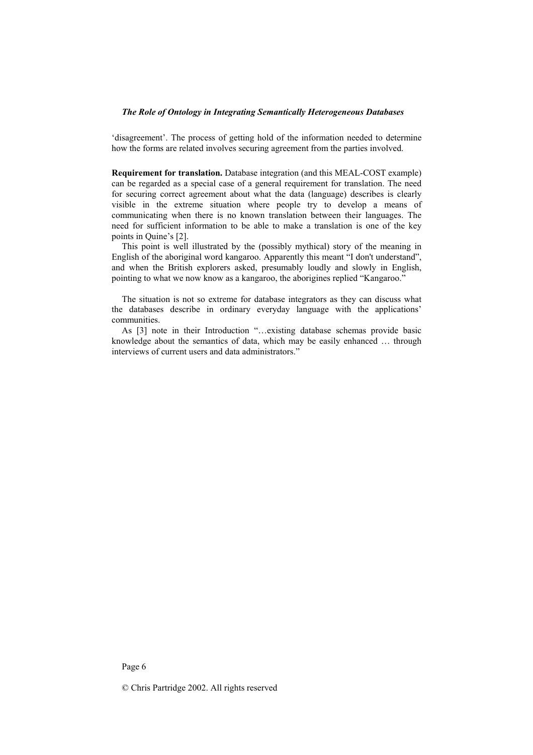'disagreement'. The process of getting hold of the information needed to determine how the forms are related involves securing agreement from the parties involved.

**Requirement for translation.** Database integration (and this MEAL-COST example) can be regarded as a special case of a general requirement for translation. The need for securing correct agreement about what the data (language) describes is clearly visible in the extreme situation where people try to develop a means of communicating when there is no known translation between their languages. The need for sufficient information to be able to make a translation is one of the key points in Quine's [2].

This point is well illustrated by the (possibly mythical) story of the meaning in English of the aboriginal word kangaroo. Apparently this meant "I don't understand", and when the British explorers asked, presumably loudly and slowly in English, pointing to what we now know as a kangaroo, the aborigines replied "Kangaroo."

The situation is not so extreme for database integrators as they can discuss what the databases describe in ordinary everyday language with the applications' communities.

As [3] note in their Introduction "…existing database schemas provide basic knowledge about the semantics of data, which may be easily enhanced … through interviews of current users and data administrators."

Page 6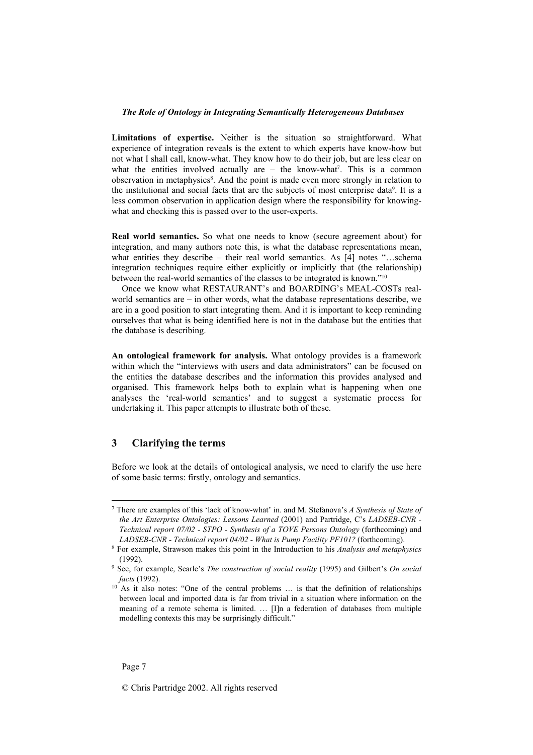**Limitations of expertise.** Neither is the situation so straightforward. What experience of integration reveals is the extent to which experts have know-how but not what I shall call, know-what. They know how to do their job, but are less clear on what the entities involved actually are  $-$  the know-what<sup>7</sup>. This is a common observation in metaphysics<sup>8</sup>. And the point is made even more strongly in relation to the institutional and social facts that are the subjects of most enterprise data9. It is a less common observation in application design where the responsibility for knowingwhat and checking this is passed over to the user-experts.

**Real world semantics.** So what one needs to know (secure agreement about) for integration, and many authors note this, is what the database representations mean, what entities they describe – their real world semantics. As [4] notes "...schema integration techniques require either explicitly or implicitly that (the relationship) between the real-world semantics of the classes to be integrated is known."10

Once we know what RESTAURANT's and BOARDING's MEAL-COSTs realworld semantics are – in other words, what the database representations describe, we are in a good position to start integrating them. And it is important to keep reminding ourselves that what is being identified here is not in the database but the entities that the database is describing.

**An ontological framework for analysis.** What ontology provides is a framework within which the "interviews with users and data administrators" can be focused on the entities the database describes and the information this provides analysed and organised. This framework helps both to explain what is happening when one analyses the 'real-world semantics' and to suggest a systematic process for undertaking it. This paper attempts to illustrate both of these.

## **3 Clarifying the terms**

Before we look at the details of ontological analysis, we need to clarify the use here of some basic terms: firstly, ontology and semantics.

l

<sup>7</sup> There are examples of this 'lack of know-what' in. and M. Stefanova's *A Synthesis of State of the Art Enterprise Ontologies: Lessons Learned* (2001) and Partridge, C's *LADSEB-CNR - Technical report 07/02 - STPO - Synthesis of a TOVE Persons Ontology* (forthcoming) and

*LADSEB-CNR - Technical report 04/02 - What is Pump Facility PF101?* (forthcoming). 8 For example, Strawson makes this point in the Introduction to his *Analysis and metaphysics*  (1992). 9 See, for example, Searle's *The construction of social reality* (1995) and Gilbert's *On social* 

*facts* (1992).<br><sup>10</sup> As it also notes: "One of the central problems ... is that the definition of relationships between local and imported data is far from trivial in a situation where information on the meaning of a remote schema is limited. … [I]n a federation of databases from multiple modelling contexts this may be surprisingly difficult."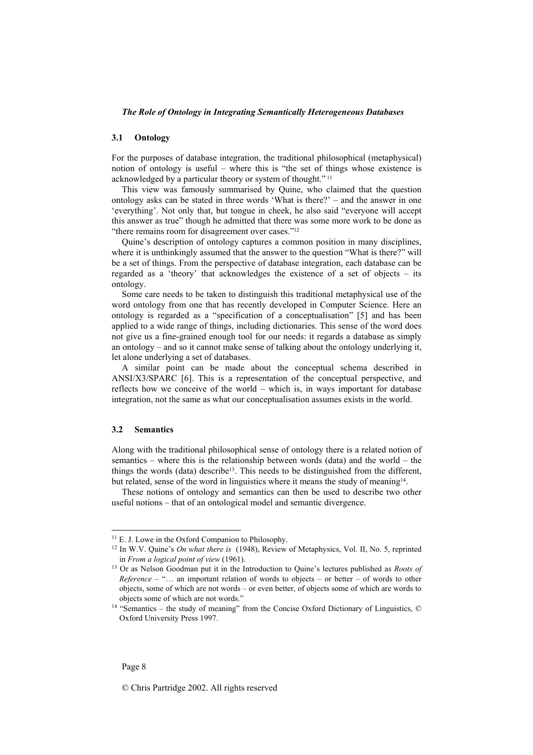#### **3.1 Ontology**

For the purposes of database integration, the traditional philosophical (metaphysical) notion of ontology is useful – where this is "the set of things whose existence is acknowledged by a particular theory or system of thought." 11

This view was famously summarised by Quine, who claimed that the question ontology asks can be stated in three words 'What is there?' – and the answer in one 'everything'. Not only that, but tongue in cheek, he also said "everyone will accept this answer as true" though he admitted that there was some more work to be done as "there remains room for disagreement over cases."<sup>12</sup>

Quine's description of ontology captures a common position in many disciplines, where it is unthinkingly assumed that the answer to the question "What is there?" will be a set of things. From the perspective of database integration, each database can be regarded as a 'theory' that acknowledges the existence of a set of objects – its ontology.

Some care needs to be taken to distinguish this traditional metaphysical use of the word ontology from one that has recently developed in Computer Science. Here an ontology is regarded as a "specification of a conceptualisation" [5] and has been applied to a wide range of things, including dictionaries. This sense of the word does not give us a fine-grained enough tool for our needs: it regards a database as simply an ontology – and so it cannot make sense of talking about the ontology underlying it, let alone underlying a set of databases.

A similar point can be made about the conceptual schema described in ANSI/X3/SPARC [6]. This is a representation of the conceptual perspective, and reflects how we conceive of the world – which is, in ways important for database integration, not the same as what our conceptualisation assumes exists in the world.

#### **3.2 Semantics**

Along with the traditional philosophical sense of ontology there is a related notion of semantics – where this is the relationship between words (data) and the world – the things the words (data) describe<sup>13</sup>. This needs to be distinguished from the different, but related, sense of the word in linguistics where it means the study of meaning<sup>14</sup>.

These notions of ontology and semantics can then be used to describe two other useful notions – that of an ontological model and semantic divergence.

 $11$  E. J. Lowe in the Oxford Companion to Philosophy.

<sup>12</sup> In W.V. Quine's *On what there is* (1948), Review of Metaphysics, Vol. II, No. 5, reprinted in *From a logical point of view* (1961). 13 Or as Nelson Goodman put it in the Introduction to Quine's lectures published as *Roots of* 

*Reference* – "… an important relation of words to objects – or better – of words to other objects, some of which are not words – or even better, of objects some of which are words to objects some of which are not words." 14 "Semantics – the study of meaning" from the Concise Oxford Dictionary of Linguistics, ©

Oxford University Press 1997.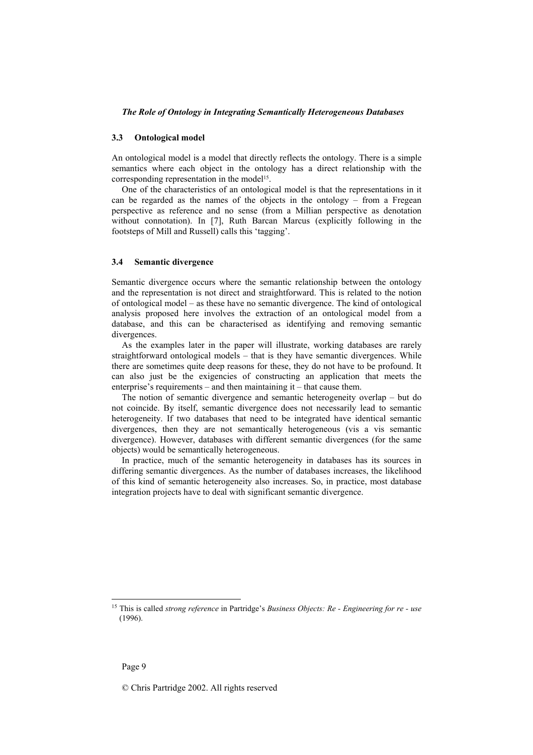#### **3.3 Ontological model**

An ontological model is a model that directly reflects the ontology. There is a simple semantics where each object in the ontology has a direct relationship with the corresponding representation in the model<sup>15</sup>.

One of the characteristics of an ontological model is that the representations in it can be regarded as the names of the objects in the ontology – from a Fregean perspective as reference and no sense (from a Millian perspective as denotation without connotation). In [7], Ruth Barcan Marcus (explicitly following in the footsteps of Mill and Russell) calls this 'tagging'.

### **3.4 Semantic divergence**

Semantic divergence occurs where the semantic relationship between the ontology and the representation is not direct and straightforward. This is related to the notion of ontological model – as these have no semantic divergence. The kind of ontological analysis proposed here involves the extraction of an ontological model from a database, and this can be characterised as identifying and removing semantic divergences.

As the examples later in the paper will illustrate, working databases are rarely straightforward ontological models – that is they have semantic divergences. While there are sometimes quite deep reasons for these, they do not have to be profound. It can also just be the exigencies of constructing an application that meets the enterprise's requirements – and then maintaining it – that cause them.

The notion of semantic divergence and semantic heterogeneity overlap – but do not coincide. By itself, semantic divergence does not necessarily lead to semantic heterogeneity. If two databases that need to be integrated have identical semantic divergences, then they are not semantically heterogeneous (vis a vis semantic divergence). However, databases with different semantic divergences (for the same objects) would be semantically heterogeneous.

In practice, much of the semantic heterogeneity in databases has its sources in differing semantic divergences. As the number of databases increases, the likelihood of this kind of semantic heterogeneity also increases. So, in practice, most database integration projects have to deal with significant semantic divergence.

l

<sup>15</sup> This is called *strong reference* in Partridge's *Business Objects: Re - Engineering for re - use* (1996).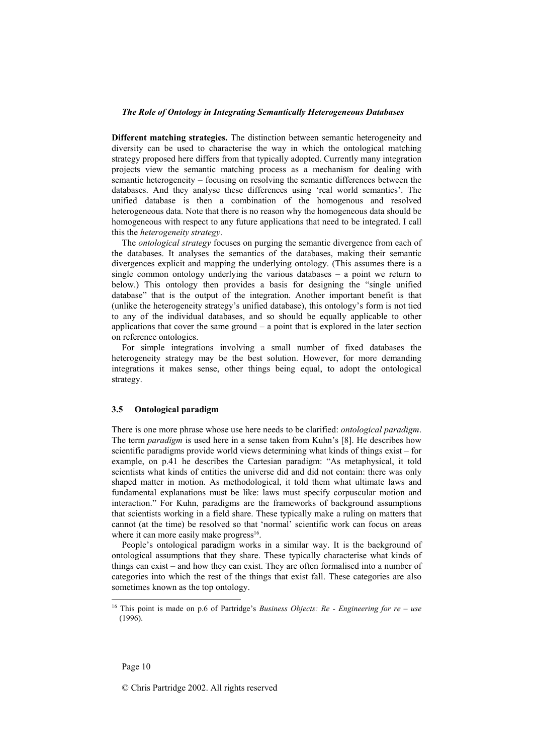**Different matching strategies.** The distinction between semantic heterogeneity and diversity can be used to characterise the way in which the ontological matching strategy proposed here differs from that typically adopted. Currently many integration projects view the semantic matching process as a mechanism for dealing with semantic heterogeneity – focusing on resolving the semantic differences between the databases. And they analyse these differences using 'real world semantics'. The unified database is then a combination of the homogenous and resolved heterogeneous data. Note that there is no reason why the homogeneous data should be homogeneous with respect to any future applications that need to be integrated. I call this the *heterogeneity strategy*.

The *ontological strategy* focuses on purging the semantic divergence from each of the databases. It analyses the semantics of the databases, making their semantic divergences explicit and mapping the underlying ontology. (This assumes there is a single common ontology underlying the various databases – a point we return to below.) This ontology then provides a basis for designing the "single unified database" that is the output of the integration. Another important benefit is that (unlike the heterogeneity strategy's unified database), this ontology's form is not tied to any of the individual databases, and so should be equally applicable to other applications that cover the same ground – a point that is explored in the later section on reference ontologies.

For simple integrations involving a small number of fixed databases the heterogeneity strategy may be the best solution. However, for more demanding integrations it makes sense, other things being equal, to adopt the ontological strategy.

#### **3.5 Ontological paradigm**

There is one more phrase whose use here needs to be clarified: *ontological paradigm*. The term *paradigm* is used here in a sense taken from Kuhn's [8]. He describes how scientific paradigms provide world views determining what kinds of things exist – for example, on p.41 he describes the Cartesian paradigm: "As metaphysical, it told scientists what kinds of entities the universe did and did not contain: there was only shaped matter in motion. As methodological, it told them what ultimate laws and fundamental explanations must be like: laws must specify corpuscular motion and interaction." For Kuhn, paradigms are the frameworks of background assumptions that scientists working in a field share. These typically make a ruling on matters that cannot (at the time) be resolved so that 'normal' scientific work can focus on areas where it can more easily make progress<sup>16</sup>.

People's ontological paradigm works in a similar way. It is the background of ontological assumptions that they share. These typically characterise what kinds of things can exist – and how they can exist. They are often formalised into a number of categories into which the rest of the things that exist fall. These categories are also sometimes known as the top ontology.

l

<sup>16</sup> This point is made on p.6 of Partridge's *Business Objects: Re - Engineering for re – use*  (1996).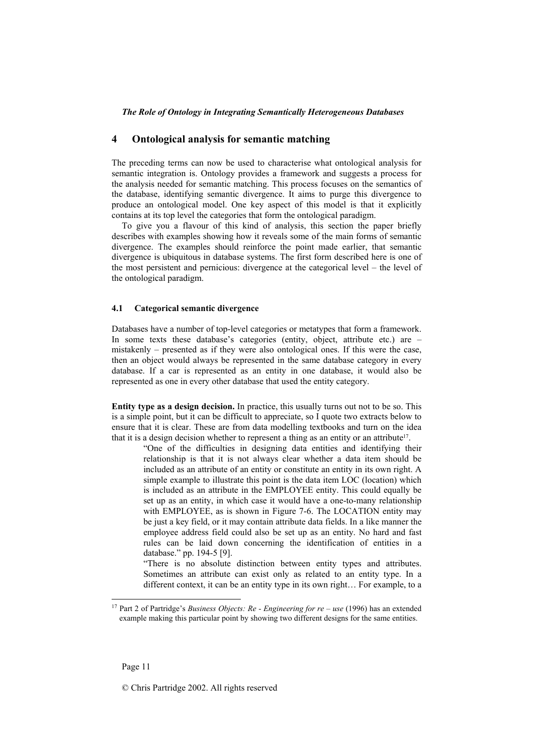## **4 Ontological analysis for semantic matching**

The preceding terms can now be used to characterise what ontological analysis for semantic integration is. Ontology provides a framework and suggests a process for the analysis needed for semantic matching. This process focuses on the semantics of the database, identifying semantic divergence. It aims to purge this divergence to produce an ontological model. One key aspect of this model is that it explicitly contains at its top level the categories that form the ontological paradigm.

To give you a flavour of this kind of analysis, this section the paper briefly describes with examples showing how it reveals some of the main forms of semantic divergence. The examples should reinforce the point made earlier, that semantic divergence is ubiquitous in database systems. The first form described here is one of the most persistent and pernicious: divergence at the categorical level – the level of the ontological paradigm.

## **4.1 Categorical semantic divergence**

Databases have a number of top-level categories or metatypes that form a framework. In some texts these database's categories (entity, object, attribute etc.) are – mistakenly – presented as if they were also ontological ones. If this were the case, then an object would always be represented in the same database category in every database. If a car is represented as an entity in one database, it would also be represented as one in every other database that used the entity category.

**Entity type as a design decision.** In practice, this usually turns out not to be so. This is a simple point, but it can be difficult to appreciate, so I quote two extracts below to ensure that it is clear. These are from data modelling textbooks and turn on the idea that it is a design decision whether to represent a thing as an entity or an attribute<sup>17</sup>.

"One of the difficulties in designing data entities and identifying their relationship is that it is not always clear whether a data item should be included as an attribute of an entity or constitute an entity in its own right. A simple example to illustrate this point is the data item LOC (location) which is included as an attribute in the EMPLOYEE entity. This could equally be set up as an entity, in which case it would have a one-to-many relationship with EMPLOYEE, as is shown in Figure 7-6. The LOCATION entity may be just a key field, or it may contain attribute data fields. In a like manner the employee address field could also be set up as an entity. No hard and fast rules can be laid down concerning the identification of entities in a database." pp. 194-5 [9].

"There is no absolute distinction between entity types and attributes. Sometimes an attribute can exist only as related to an entity type. In a different context, it can be an entity type in its own right… For example, to a

l

<sup>17</sup> Part 2 of Partridge's *Business Objects: Re - Engineering for re – use* (1996) has an extended example making this particular point by showing two different designs for the same entities.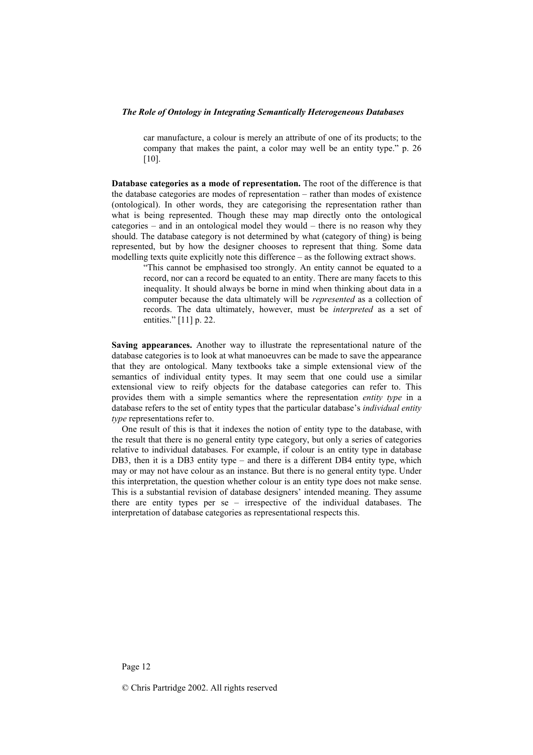car manufacture, a colour is merely an attribute of one of its products; to the company that makes the paint, a color may well be an entity type." p. 26 [10].

**Database categories as a mode of representation.** The root of the difference is that the database categories are modes of representation – rather than modes of existence (ontological). In other words, they are categorising the representation rather than what is being represented. Though these may map directly onto the ontological categories – and in an ontological model they would – there is no reason why they should. The database category is not determined by what (category of thing) is being represented, but by how the designer chooses to represent that thing. Some data modelling texts quite explicitly note this difference – as the following extract shows.

"This cannot be emphasised too strongly. An entity cannot be equated to a record, nor can a record be equated to an entity. There are many facets to this inequality. It should always be borne in mind when thinking about data in a computer because the data ultimately will be *represented* as a collection of records. The data ultimately, however, must be *interpreted* as a set of entities." [11] p. 22.

**Saving appearances.** Another way to illustrate the representational nature of the database categories is to look at what manoeuvres can be made to save the appearance that they are ontological. Many textbooks take a simple extensional view of the semantics of individual entity types. It may seem that one could use a similar extensional view to reify objects for the database categories can refer to. This provides them with a simple semantics where the representation *entity type* in a database refers to the set of entity types that the particular database's *individual entity type* representations refer to.

One result of this is that it indexes the notion of entity type to the database, with the result that there is no general entity type category, but only a series of categories relative to individual databases. For example, if colour is an entity type in database DB3, then it is a DB3 entity type – and there is a different DB4 entity type, which may or may not have colour as an instance. But there is no general entity type. Under this interpretation, the question whether colour is an entity type does not make sense. This is a substantial revision of database designers' intended meaning. They assume there are entity types per se – irrespective of the individual databases. The interpretation of database categories as representational respects this.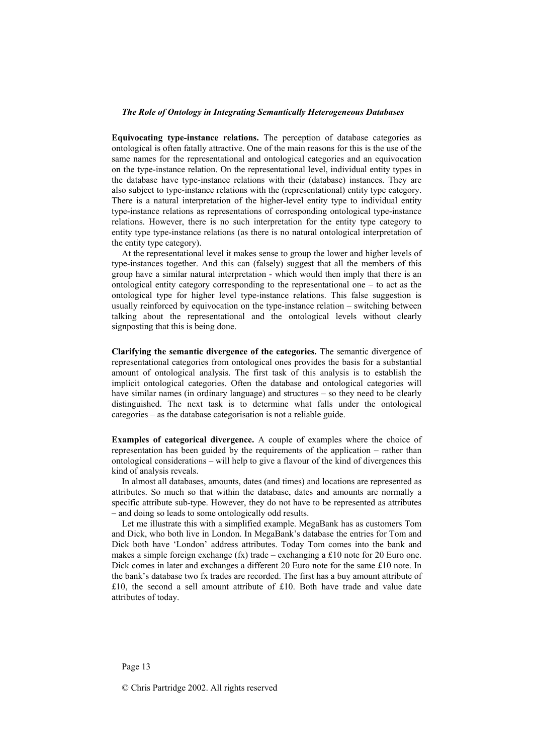**Equivocating type-instance relations.** The perception of database categories as ontological is often fatally attractive. One of the main reasons for this is the use of the same names for the representational and ontological categories and an equivocation on the type-instance relation. On the representational level, individual entity types in the database have type-instance relations with their (database) instances. They are also subject to type-instance relations with the (representational) entity type category. There is a natural interpretation of the higher-level entity type to individual entity type-instance relations as representations of corresponding ontological type-instance relations. However, there is no such interpretation for the entity type category to entity type type-instance relations (as there is no natural ontological interpretation of the entity type category).

At the representational level it makes sense to group the lower and higher levels of type-instances together. And this can (falsely) suggest that all the members of this group have a similar natural interpretation - which would then imply that there is an ontological entity category corresponding to the representational one – to act as the ontological type for higher level type-instance relations. This false suggestion is usually reinforced by equivocation on the type-instance relation – switching between talking about the representational and the ontological levels without clearly signposting that this is being done.

**Clarifying the semantic divergence of the categories.** The semantic divergence of representational categories from ontological ones provides the basis for a substantial amount of ontological analysis. The first task of this analysis is to establish the implicit ontological categories. Often the database and ontological categories will have similar names (in ordinary language) and structures – so they need to be clearly distinguished. The next task is to determine what falls under the ontological categories – as the database categorisation is not a reliable guide.

**Examples of categorical divergence.** A couple of examples where the choice of representation has been guided by the requirements of the application – rather than ontological considerations – will help to give a flavour of the kind of divergences this kind of analysis reveals.

In almost all databases, amounts, dates (and times) and locations are represented as attributes. So much so that within the database, dates and amounts are normally a specific attribute sub-type. However, they do not have to be represented as attributes – and doing so leads to some ontologically odd results.

Let me illustrate this with a simplified example. MegaBank has as customers Tom and Dick, who both live in London. In MegaBank's database the entries for Tom and Dick both have 'London' address attributes. Today Tom comes into the bank and makes a simple foreign exchange (fx) trade – exchanging a £10 note for 20 Euro one. Dick comes in later and exchanges a different 20 Euro note for the same £10 note. In the bank's database two fx trades are recorded. The first has a buy amount attribute of £10, the second a sell amount attribute of £10. Both have trade and value date attributes of today.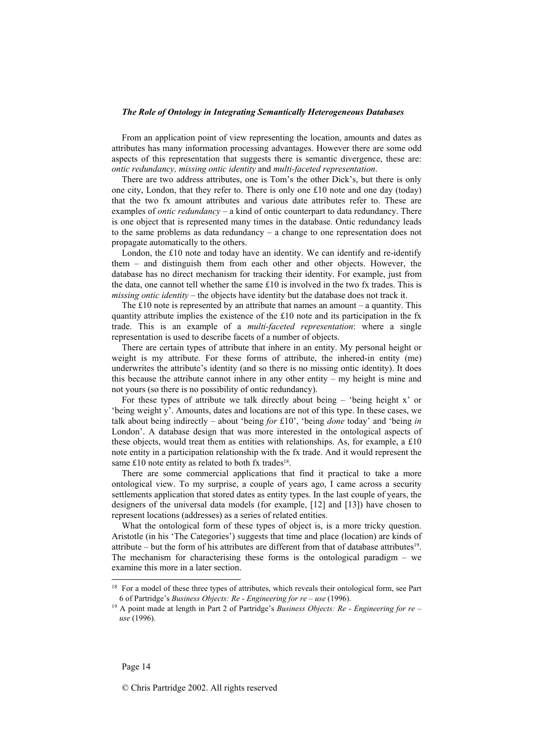From an application point of view representing the location, amounts and dates as attributes has many information processing advantages. However there are some odd aspects of this representation that suggests there is semantic divergence, these are: *ontic redundancy, missing ontic identity* and *multi-faceted representation*.

There are two address attributes, one is Tom's the other Dick's, but there is only one city, London, that they refer to. There is only one £10 note and one day (today) that the two fx amount attributes and various date attributes refer to. These are examples of *ontic redundancy* – a kind of ontic counterpart to data redundancy. There is one object that is represented many times in the database. Ontic redundancy leads to the same problems as data redundancy – a change to one representation does not propagate automatically to the others.

London, the  $£10$  note and today have an identity. We can identify and re-identify them – and distinguish them from each other and other objects. However, the database has no direct mechanism for tracking their identity. For example, just from the data, one cannot tell whether the same  $\pounds 10$  is involved in the two fx trades. This is *missing ontic identity* – the objects have identity but the database does not track it.

The £10 note is represented by an attribute that names an amount – a quantity. This quantity attribute implies the existence of the £10 note and its participation in the fx trade. This is an example of a *multi-faceted representation*: where a single representation is used to describe facets of a number of objects.

There are certain types of attribute that inhere in an entity. My personal height or weight is my attribute. For these forms of attribute, the inhered-in entity (me) underwrites the attribute's identity (and so there is no missing ontic identity). It does this because the attribute cannot inhere in any other entity – my height is mine and not yours (so there is no possibility of ontic redundancy).

For these types of attribute we talk directly about being – 'being height x' or 'being weight y'. Amounts, dates and locations are not of this type. In these cases, we talk about being indirectly – about 'being *for* £10', 'being *done* today' and 'being *in*  London'. A database design that was more interested in the ontological aspects of these objects, would treat them as entities with relationships. As, for example, a  $£10$ note entity in a participation relationship with the fx trade. And it would represent the same  $£10$  note entity as related to both fx trades<sup>18</sup>.

There are some commercial applications that find it practical to take a more ontological view. To my surprise, a couple of years ago, I came across a security settlements application that stored dates as entity types. In the last couple of years, the designers of the universal data models (for example, [12] and [13]) have chosen to represent locations (addresses) as a series of related entities.

What the ontological form of these types of object is, is a more tricky question. Aristotle (in his 'The Categories') suggests that time and place (location) are kinds of attribute – but the form of his attributes are different from that of database attributes<sup>19</sup>. The mechanism for characterising these forms is the ontological paradigm – we examine this more in a later section.

l

<sup>&</sup>lt;sup>18</sup> For a model of these three types of attributes, which reveals their ontological form, see Part 6 of Partridge's *Business Objects: Re - Engineering for re – use* (1996). 19 A point made at length in Part 2 of Partridge's *Business Objects: Re - Engineering for re –* 

*use* (1996).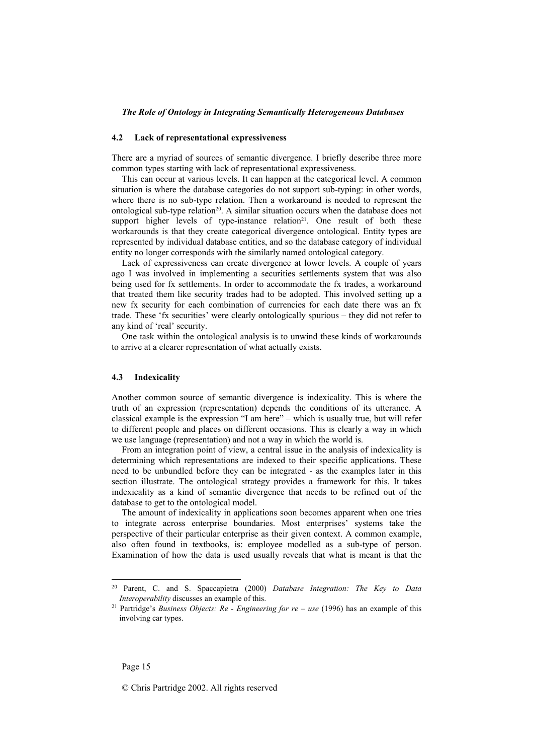#### **4.2 Lack of representational expressiveness**

There are a myriad of sources of semantic divergence. I briefly describe three more common types starting with lack of representational expressiveness.

This can occur at various levels. It can happen at the categorical level. A common situation is where the database categories do not support sub-typing: in other words, where there is no sub-type relation. Then a workaround is needed to represent the ontological sub-type relation<sup>20</sup>. A similar situation occurs when the database does not support higher levels of type-instance relation<sup>21</sup>. One result of both these workarounds is that they create categorical divergence ontological. Entity types are represented by individual database entities, and so the database category of individual entity no longer corresponds with the similarly named ontological category.

Lack of expressiveness can create divergence at lower levels. A couple of years ago I was involved in implementing a securities settlements system that was also being used for fx settlements. In order to accommodate the fx trades, a workaround that treated them like security trades had to be adopted. This involved setting up a new fx security for each combination of currencies for each date there was an fx trade. These 'fx securities' were clearly ontologically spurious – they did not refer to any kind of 'real' security.

One task within the ontological analysis is to unwind these kinds of workarounds to arrive at a clearer representation of what actually exists.

## **4.3 Indexicality**

Another common source of semantic divergence is indexicality. This is where the truth of an expression (representation) depends the conditions of its utterance. A classical example is the expression "I am here" – which is usually true, but will refer to different people and places on different occasions. This is clearly a way in which we use language (representation) and not a way in which the world is.

From an integration point of view, a central issue in the analysis of indexicality is determining which representations are indexed to their specific applications. These need to be unbundled before they can be integrated - as the examples later in this section illustrate. The ontological strategy provides a framework for this. It takes indexicality as a kind of semantic divergence that needs to be refined out of the database to get to the ontological model.

The amount of indexicality in applications soon becomes apparent when one tries to integrate across enterprise boundaries. Most enterprises' systems take the perspective of their particular enterprise as their given context. A common example, also often found in textbooks, is: employee modelled as a sub-type of person. Examination of how the data is used usually reveals that what is meant is that the

l

<sup>20</sup> Parent, C. and S. Spaccapietra (2000) *Database Integration: The Key to Data Interoperability* discusses an example of this.<br><sup>21</sup> Partridge's *Business Objects: Re - Engineering for re – use* (1996) has an example of this

involving car types.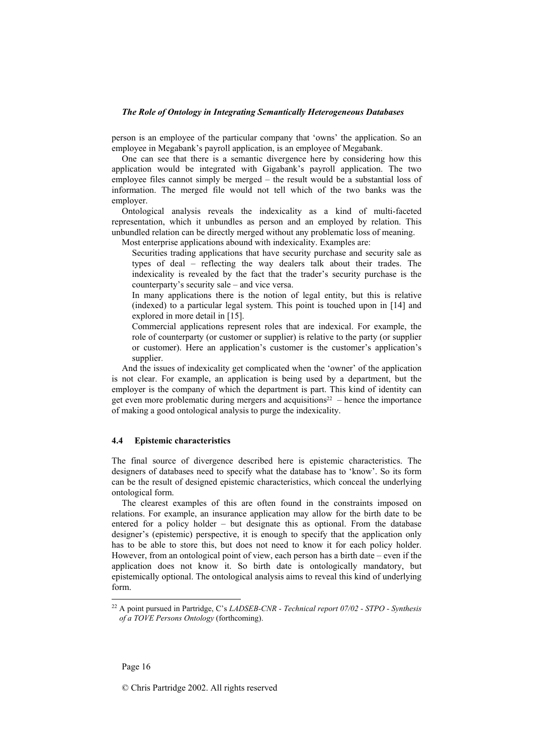person is an employee of the particular company that 'owns' the application. So an employee in Megabank's payroll application, is an employee of Megabank.

One can see that there is a semantic divergence here by considering how this application would be integrated with Gigabank's payroll application. The two employee files cannot simply be merged – the result would be a substantial loss of information. The merged file would not tell which of the two banks was the employer.

Ontological analysis reveals the indexicality as a kind of multi-faceted representation, which it unbundles as person and an employed by relation. This unbundled relation can be directly merged without any problematic loss of meaning.

Most enterprise applications abound with indexicality. Examples are:

Securities trading applications that have security purchase and security sale as types of deal – reflecting the way dealers talk about their trades. The indexicality is revealed by the fact that the trader's security purchase is the counterparty's security sale – and vice versa.

 In many applications there is the notion of legal entity, but this is relative (indexed) to a particular legal system. This point is touched upon in [14] and explored in more detail in [15].

 Commercial applications represent roles that are indexical. For example, the role of counterparty (or customer or supplier) is relative to the party (or supplier or customer). Here an application's customer is the customer's application's supplier.

And the issues of indexicality get complicated when the 'owner' of the application is not clear. For example, an application is being used by a department, but the employer is the company of which the department is part. This kind of identity can get even more problematic during mergers and acquisitions<sup>22</sup> – hence the importance of making a good ontological analysis to purge the indexicality.

## **4.4 Epistemic characteristics**

The final source of divergence described here is epistemic characteristics. The designers of databases need to specify what the database has to 'know'. So its form can be the result of designed epistemic characteristics, which conceal the underlying ontological form.

The clearest examples of this are often found in the constraints imposed on relations. For example, an insurance application may allow for the birth date to be entered for a policy holder – but designate this as optional. From the database designer's (epistemic) perspective, it is enough to specify that the application only has to be able to store this, but does not need to know it for each policy holder. However, from an ontological point of view, each person has a birth date – even if the application does not know it. So birth date is ontologically mandatory, but epistemically optional. The ontological analysis aims to reveal this kind of underlying form.

l

<sup>22</sup> A point pursued in Partridge, C's *LADSEB-CNR - Technical report 07/02 - STPO - Synthesis of a TOVE Persons Ontology* (forthcoming).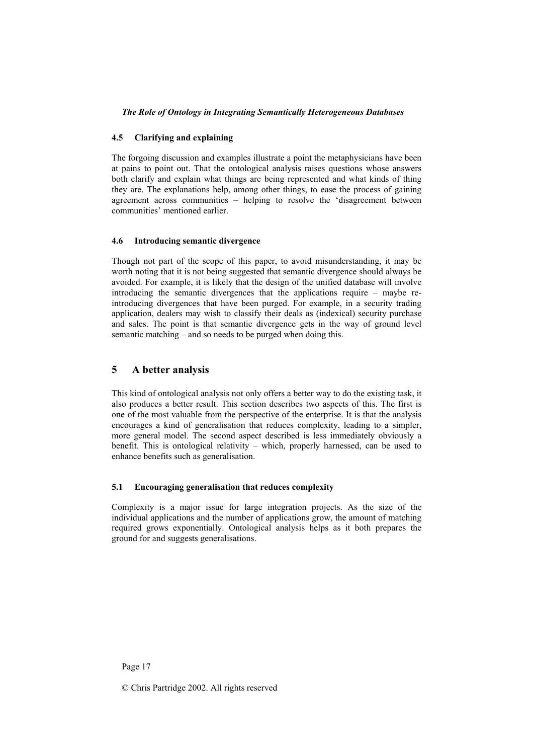### **4.5 Clarifying and explaining**

The forgoing discussion and examples illustrate a point the metaphysicians have been at pains to point out. That the ontological analysis raises questions whose answers both clarify and explain what things are being represented and what kinds of thing they are. The explanations help, among other things, to ease the process of gaining agreement across communities – helping to resolve the 'disagreement between communities' mentioned earlier.

### **4.6 Introducing semantic divergence**

Though not part of the scope of this paper, to avoid misunderstanding, it may be worth noting that it is not being suggested that semantic divergence should always be avoided. For example, it is likely that the design of the unified database will involve introducing the semantic divergences that the applications require – maybe reintroducing divergences that have been purged. For example, in a security trading application, dealers may wish to classify their deals as (indexical) security purchase and sales. The point is that semantic divergence gets in the way of ground level semantic matching – and so needs to be purged when doing this.

## **5 A better analysis**

This kind of ontological analysis not only offers a better way to do the existing task, it also produces a better result. This section describes two aspects of this. The first is one of the most valuable from the perspective of the enterprise. It is that the analysis encourages a kind of generalisation that reduces complexity, leading to a simpler, more general model. The second aspect described is less immediately obviously a benefit. This is ontological relativity – which, properly harnessed, can be used to enhance benefits such as generalisation.

## **5.1 Encouraging generalisation that reduces complexity**

Complexity is a major issue for large integration projects. As the size of the individual applications and the number of applications grow, the amount of matching required grows exponentially. Ontological analysis helps as it both prepares the ground for and suggests generalisations.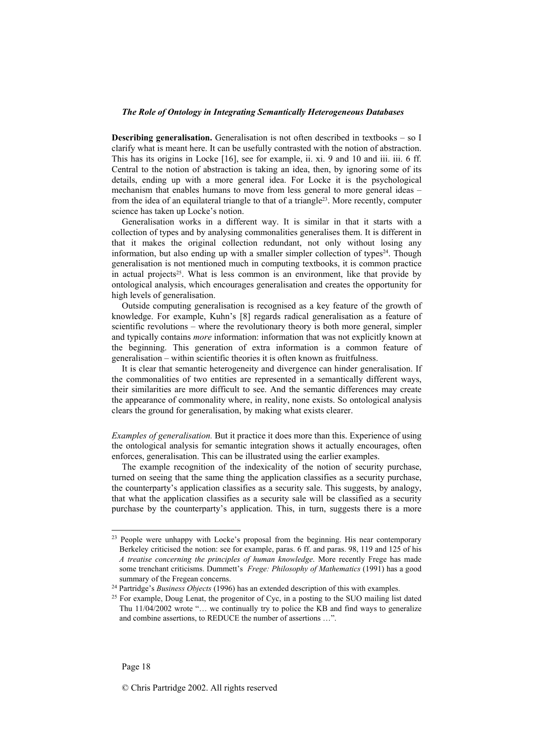**Describing generalisation.** Generalisation is not often described in textbooks – so I clarify what is meant here. It can be usefully contrasted with the notion of abstraction. This has its origins in Locke [16], see for example, ii. xi. 9 and 10 and iii. iii. 6 ff. Central to the notion of abstraction is taking an idea, then, by ignoring some of its details, ending up with a more general idea. For Locke it is the psychological mechanism that enables humans to move from less general to more general ideas – from the idea of an equilateral triangle to that of a triangle<sup>23</sup>. More recently, computer science has taken up Locke's notion.

Generalisation works in a different way. It is similar in that it starts with a collection of types and by analysing commonalities generalises them. It is different in that it makes the original collection redundant, not only without losing any information, but also ending up with a smaller simpler collection of types<sup>24</sup>. Though generalisation is not mentioned much in computing textbooks, it is common practice in actual projects<sup>25</sup>. What is less common is an environment, like that provide by ontological analysis, which encourages generalisation and creates the opportunity for high levels of generalisation.

Outside computing generalisation is recognised as a key feature of the growth of knowledge. For example, Kuhn's [8] regards radical generalisation as a feature of scientific revolutions – where the revolutionary theory is both more general, simpler and typically contains *more* information: information that was not explicitly known at the beginning. This generation of extra information is a common feature of generalisation – within scientific theories it is often known as fruitfulness.

It is clear that semantic heterogeneity and divergence can hinder generalisation. If the commonalities of two entities are represented in a semantically different ways, their similarities are more difficult to see. And the semantic differences may create the appearance of commonality where, in reality, none exists. So ontological analysis clears the ground for generalisation, by making what exists clearer.

*Examples of generalisation.* But it practice it does more than this. Experience of using the ontological analysis for semantic integration shows it actually encourages, often enforces, generalisation. This can be illustrated using the earlier examples.

The example recognition of the indexicality of the notion of security purchase, turned on seeing that the same thing the application classifies as a security purchase, the counterparty's application classifies as a security sale. This suggests, by analogy, that what the application classifies as a security sale will be classified as a security purchase by the counterparty's application. This, in turn, suggests there is a more

l

<sup>&</sup>lt;sup>23</sup> People were unhappy with Locke's proposal from the beginning. His near contemporary Berkeley criticised the notion: see for example, paras. 6 ff. and paras. 98, 119 and 125 of his *A treatise concerning the principles of human knowledge*. More recently Frege has made some trenchant criticisms. Dummett's *Frege: Philosophy of Mathematics* (1991) has a good

summary of the Fregean concerns.<br><sup>24</sup> Partridge's *Business Objects* (1996) has an extended description of this with examples.<br><sup>25</sup> For example, Doug Lenat, the progenitor of Cyc, in a posting to the SUO mailing list dated Thu 11/04/2002 wrote "… we continually try to police the KB and find ways to generalize and combine assertions, to REDUCE the number of assertions …".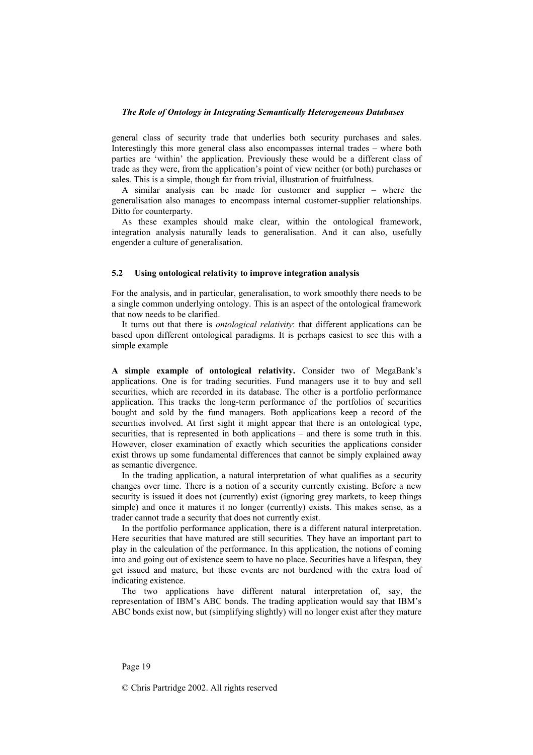general class of security trade that underlies both security purchases and sales. Interestingly this more general class also encompasses internal trades – where both parties are 'within' the application. Previously these would be a different class of trade as they were, from the application's point of view neither (or both) purchases or sales. This is a simple, though far from trivial, illustration of fruitfulness.

A similar analysis can be made for customer and supplier – where the generalisation also manages to encompass internal customer-supplier relationships. Ditto for counterparty.

As these examples should make clear, within the ontological framework, integration analysis naturally leads to generalisation. And it can also, usefully engender a culture of generalisation.

### **5.2 Using ontological relativity to improve integration analysis**

For the analysis, and in particular, generalisation, to work smoothly there needs to be a single common underlying ontology. This is an aspect of the ontological framework that now needs to be clarified.

It turns out that there is *ontological relativity*: that different applications can be based upon different ontological paradigms. It is perhaps easiest to see this with a simple example

**A simple example of ontological relativity.** Consider two of MegaBank's applications. One is for trading securities. Fund managers use it to buy and sell securities, which are recorded in its database. The other is a portfolio performance application. This tracks the long-term performance of the portfolios of securities bought and sold by the fund managers. Both applications keep a record of the securities involved. At first sight it might appear that there is an ontological type, securities, that is represented in both applications – and there is some truth in this. However, closer examination of exactly which securities the applications consider exist throws up some fundamental differences that cannot be simply explained away as semantic divergence.

In the trading application, a natural interpretation of what qualifies as a security changes over time. There is a notion of a security currently existing. Before a new security is issued it does not (currently) exist (ignoring grey markets, to keep things simple) and once it matures it no longer (currently) exists. This makes sense, as a trader cannot trade a security that does not currently exist.

In the portfolio performance application, there is a different natural interpretation. Here securities that have matured are still securities. They have an important part to play in the calculation of the performance. In this application, the notions of coming into and going out of existence seem to have no place. Securities have a lifespan, they get issued and mature, but these events are not burdened with the extra load of indicating existence.

The two applications have different natural interpretation of, say, the representation of IBM's ABC bonds. The trading application would say that IBM's ABC bonds exist now, but (simplifying slightly) will no longer exist after they mature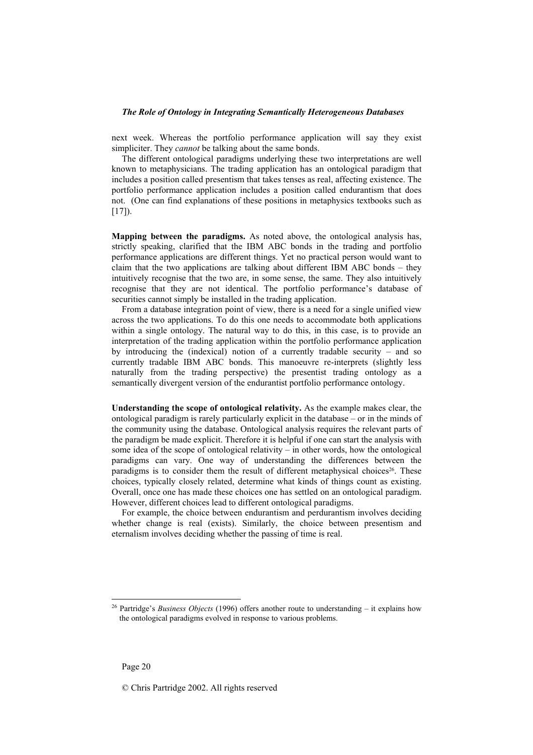next week. Whereas the portfolio performance application will say they exist simpliciter. They *cannot* be talking about the same bonds.

The different ontological paradigms underlying these two interpretations are well known to metaphysicians. The trading application has an ontological paradigm that includes a position called presentism that takes tenses as real, affecting existence. The portfolio performance application includes a position called endurantism that does not. (One can find explanations of these positions in metaphysics textbooks such as  $[17]$ ).

**Mapping between the paradigms.** As noted above, the ontological analysis has, strictly speaking, clarified that the IBM ABC bonds in the trading and portfolio performance applications are different things. Yet no practical person would want to claim that the two applications are talking about different IBM ABC bonds – they intuitively recognise that the two are, in some sense, the same. They also intuitively recognise that they are not identical. The portfolio performance's database of securities cannot simply be installed in the trading application.

From a database integration point of view, there is a need for a single unified view across the two applications. To do this one needs to accommodate both applications within a single ontology. The natural way to do this, in this case, is to provide an interpretation of the trading application within the portfolio performance application by introducing the (indexical) notion of a currently tradable security – and so currently tradable IBM ABC bonds. This manoeuvre re-interprets (slightly less naturally from the trading perspective) the presentist trading ontology as a semantically divergent version of the endurantist portfolio performance ontology.

**Understanding the scope of ontological relativity.** As the example makes clear, the ontological paradigm is rarely particularly explicit in the database – or in the minds of the community using the database. Ontological analysis requires the relevant parts of the paradigm be made explicit. Therefore it is helpful if one can start the analysis with some idea of the scope of ontological relativity – in other words, how the ontological paradigms can vary. One way of understanding the differences between the paradigms is to consider them the result of different metaphysical choices<sup>26</sup>. These choices, typically closely related, determine what kinds of things count as existing. Overall, once one has made these choices one has settled on an ontological paradigm. However, different choices lead to different ontological paradigms.

For example, the choice between endurantism and perdurantism involves deciding whether change is real (exists). Similarly, the choice between presentism and eternalism involves deciding whether the passing of time is real.

<sup>26</sup> Partridge's *Business Objects* (1996) offers another route to understanding – it explains how the ontological paradigms evolved in response to various problems.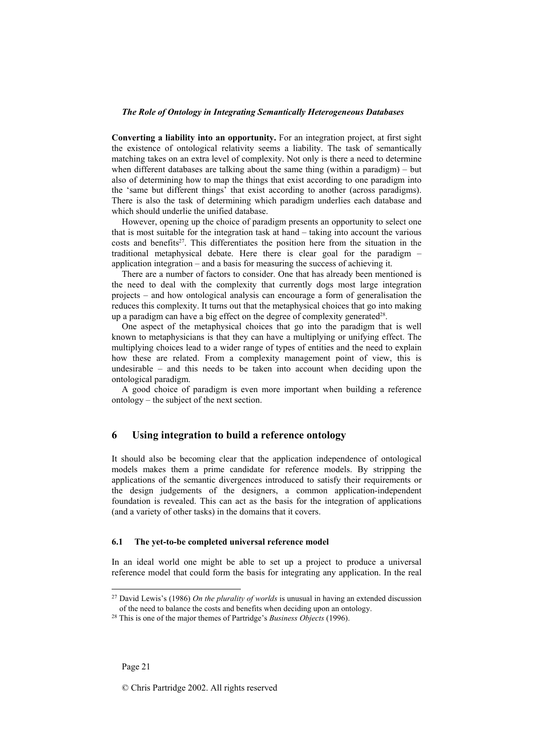**Converting a liability into an opportunity.** For an integration project, at first sight the existence of ontological relativity seems a liability. The task of semantically matching takes on an extra level of complexity. Not only is there a need to determine when different databases are talking about the same thing (within a paradigm) – but also of determining how to map the things that exist according to one paradigm into the 'same but different things' that exist according to another (across paradigms). There is also the task of determining which paradigm underlies each database and which should underlie the unified database.

However, opening up the choice of paradigm presents an opportunity to select one that is most suitable for the integration task at hand – taking into account the various  $costs$  and benefits<sup>27</sup>. This differentiates the position here from the situation in the traditional metaphysical debate. Here there is clear goal for the paradigm – application integration – and a basis for measuring the success of achieving it.

There are a number of factors to consider. One that has already been mentioned is the need to deal with the complexity that currently dogs most large integration projects – and how ontological analysis can encourage a form of generalisation the reduces this complexity. It turns out that the metaphysical choices that go into making up a paradigm can have a big effect on the degree of complexity generated<sup>28</sup>.

One aspect of the metaphysical choices that go into the paradigm that is well known to metaphysicians is that they can have a multiplying or unifying effect. The multiplying choices lead to a wider range of types of entities and the need to explain how these are related. From a complexity management point of view, this is undesirable – and this needs to be taken into account when deciding upon the ontological paradigm.

A good choice of paradigm is even more important when building a reference ontology – the subject of the next section.

## **6 Using integration to build a reference ontology**

It should also be becoming clear that the application independence of ontological models makes them a prime candidate for reference models. By stripping the applications of the semantic divergences introduced to satisfy their requirements or the design judgements of the designers, a common application-independent foundation is revealed. This can act as the basis for the integration of applications (and a variety of other tasks) in the domains that it covers.

#### **6.1 The yet-to-be completed universal reference model**

In an ideal world one might be able to set up a project to produce a universal reference model that could form the basis for integrating any application. In the real

<sup>27</sup> David Lewis's (1986) *On the plurality of worlds* is unusual in having an extended discussion of the need to balance the costs and benefits when deciding upon an ontology. 28 This is one of the major themes of Partridge's *Business Objects* (1996).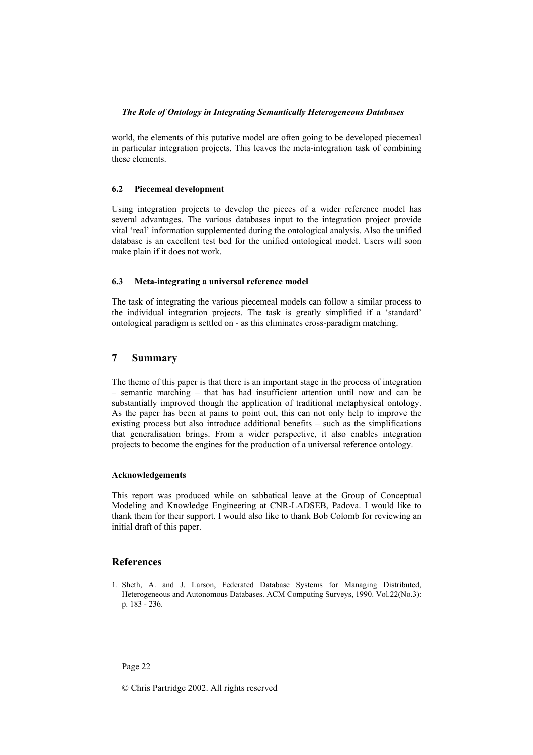world, the elements of this putative model are often going to be developed piecemeal in particular integration projects. This leaves the meta-integration task of combining these elements.

## **6.2 Piecemeal development**

Using integration projects to develop the pieces of a wider reference model has several advantages. The various databases input to the integration project provide vital 'real' information supplemented during the ontological analysis. Also the unified database is an excellent test bed for the unified ontological model. Users will soon make plain if it does not work.

## **6.3 Meta-integrating a universal reference model**

The task of integrating the various piecemeal models can follow a similar process to the individual integration projects. The task is greatly simplified if a 'standard' ontological paradigm is settled on - as this eliminates cross-paradigm matching.

## **7 Summary**

The theme of this paper is that there is an important stage in the process of integration – semantic matching – that has had insufficient attention until now and can be substantially improved though the application of traditional metaphysical ontology. As the paper has been at pains to point out, this can not only help to improve the existing process but also introduce additional benefits – such as the simplifications that generalisation brings. From a wider perspective, it also enables integration projects to become the engines for the production of a universal reference ontology.

#### **Acknowledgements**

This report was produced while on sabbatical leave at the Group of Conceptual Modeling and Knowledge Engineering at CNR-LADSEB, Padova. I would like to thank them for their support. I would also like to thank Bob Colomb for reviewing an initial draft of this paper.

## **References**

1. Sheth, A. and J. Larson, Federated Database Systems for Managing Distributed, Heterogeneous and Autonomous Databases. ACM Computing Surveys, 1990. Vol.22(No.3): p. 183 - 236.

Page 22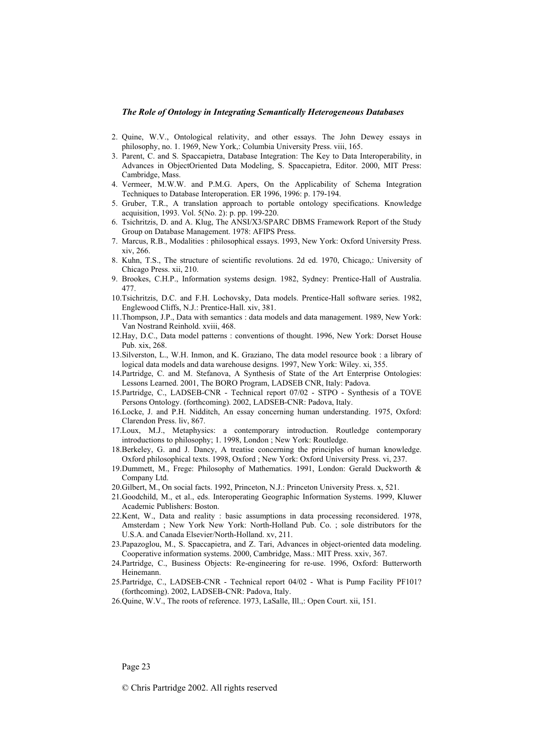- 2. Quine, W.V., Ontological relativity, and other essays. The John Dewey essays in philosophy, no. 1. 1969, New York,: Columbia University Press. viii, 165.
- 3. Parent, C. and S. Spaccapietra, Database Integration: The Key to Data Interoperability, in Advances in ObjectOriented Data Modeling, S. Spaccapietra, Editor. 2000, MIT Press: Cambridge, Mass.
- 4. Vermeer, M.W.W. and P.M.G. Apers, On the Applicability of Schema Integration Techniques to Database Interoperation. ER 1996, 1996: p. 179-194.
- 5. Gruber, T.R., A translation approach to portable ontology specifications. Knowledge acquisition, 1993. Vol. 5(No. 2): p. pp. 199-220.
- 6. Tsichritzis, D. and A. Klug, The ANSI/X3/SPARC DBMS Framework Report of the Study Group on Database Management. 1978: AFIPS Press.
- 7. Marcus, R.B., Modalities : philosophical essays. 1993, New York: Oxford University Press. xiv, 266.
- 8. Kuhn, T.S., The structure of scientific revolutions. 2d ed. 1970, Chicago,: University of Chicago Press. xii, 210.
- 9. Brookes, C.H.P., Information systems design. 1982, Sydney: Prentice-Hall of Australia. 477.
- 10.Tsichritzis, D.C. and F.H. Lochovsky, Data models. Prentice-Hall software series. 1982, Englewood Cliffs, N.J.: Prentice-Hall. xiv, 381.
- 11.Thompson, J.P., Data with semantics : data models and data management. 1989, New York: Van Nostrand Reinhold. xviii, 468.
- 12.Hay, D.C., Data model patterns : conventions of thought. 1996, New York: Dorset House Pub. xix, 268.
- 13.Silverston, L., W.H. Inmon, and K. Graziano, The data model resource book : a library of logical data models and data warehouse designs. 1997, New York: Wiley. xi, 355.
- 14.Partridge, C. and M. Stefanova, A Synthesis of State of the Art Enterprise Ontologies: Lessons Learned. 2001, The BORO Program, LADSEB CNR, Italy: Padova.
- 15.Partridge, C., LADSEB-CNR Technical report 07/02 STPO Synthesis of a TOVE Persons Ontology. (forthcoming). 2002, LADSEB-CNR: Padova, Italy.
- 16.Locke, J. and P.H. Nidditch, An essay concerning human understanding. 1975, Oxford: Clarendon Press. liv, 867.
- 17.Loux, M.J., Metaphysics: a contemporary introduction. Routledge contemporary introductions to philosophy; 1. 1998, London ; New York: Routledge.
- 18.Berkeley, G. and J. Dancy, A treatise concerning the principles of human knowledge. Oxford philosophical texts. 1998, Oxford ; New York: Oxford University Press. vi, 237.
- 19.Dummett, M., Frege: Philosophy of Mathematics. 1991, London: Gerald Duckworth & Company Ltd.
- 20.Gilbert, M., On social facts. 1992, Princeton, N.J.: Princeton University Press. x, 521.
- 21.Goodchild, M., et al., eds. Interoperating Geographic Information Systems. 1999, Kluwer Academic Publishers: Boston.
- 22.Kent, W., Data and reality : basic assumptions in data processing reconsidered. 1978, Amsterdam ; New York New York: North-Holland Pub. Co. ; sole distributors for the U.S.A. and Canada Elsevier/North-Holland. xv, 211.
- 23.Papazoglou, M., S. Spaccapietra, and Z. Tari, Advances in object-oriented data modeling. Cooperative information systems. 2000, Cambridge, Mass.: MIT Press. xxiv, 367.
- 24.Partridge, C., Business Objects: Re-engineering for re-use. 1996, Oxford: Butterworth Heinemann.
- 25.Partridge, C., LADSEB-CNR Technical report 04/02 What is Pump Facility PF101? (forthcoming). 2002, LADSEB-CNR: Padova, Italy.
- 26.Quine, W.V., The roots of reference. 1973, LaSalle, Ill.,: Open Court. xii, 151.

Page 23